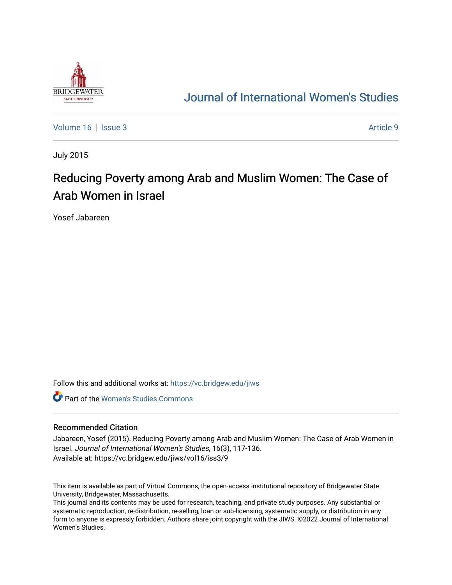

## [Journal of International Women's Studies](https://vc.bridgew.edu/jiws)

[Volume 16](https://vc.bridgew.edu/jiws/vol16) September 2014 19:00 19:00 19:00 19:00 19:00 19:00 19:00 19:00 19:00 19:00 19:00 19:00 19:00 19:00 1

July 2015

# Reducing Poverty among Arab and Muslim Women: The Case of Arab Women in Israel

Yosef Jabareen

Follow this and additional works at: [https://vc.bridgew.edu/jiws](https://vc.bridgew.edu/jiws?utm_source=vc.bridgew.edu%2Fjiws%2Fvol16%2Fiss3%2F9&utm_medium=PDF&utm_campaign=PDFCoverPages)

**C** Part of the Women's Studies Commons

#### Recommended Citation

Jabareen, Yosef (2015). Reducing Poverty among Arab and Muslim Women: The Case of Arab Women in Israel. Journal of International Women's Studies, 16(3), 117-136. Available at: https://vc.bridgew.edu/jiws/vol16/iss3/9

This item is available as part of Virtual Commons, the open-access institutional repository of Bridgewater State University, Bridgewater, Massachusetts.

This journal and its contents may be used for research, teaching, and private study purposes. Any substantial or systematic reproduction, re-distribution, re-selling, loan or sub-licensing, systematic supply, or distribution in any form to anyone is expressly forbidden. Authors share joint copyright with the JIWS. ©2022 Journal of International Women's Studies.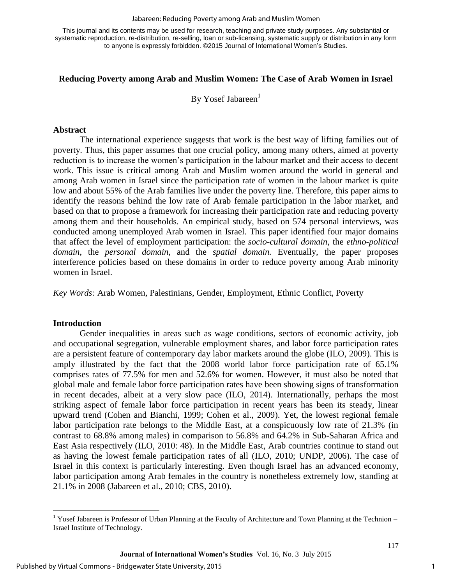#### Jabareen: Reducing Poverty among Arab and Muslim Women

This journal and its contents may be used for research, teaching and private study purposes. Any substantial or systematic reproduction, re-distribution, re-selling, loan or sub-licensing, systematic supply or distribution in any form to anyone is expressly forbidden. ©2015 Journal of International Women's Studies.

#### **Reducing Poverty among Arab and Muslim Women: The Case of Arab Women in Israel**

By Yosef Jabareen $<sup>1</sup>$ </sup>

#### **Abstract**

The international experience suggests that work is the best way of lifting families out of poverty. Thus, this paper assumes that one crucial policy, among many others, aimed at poverty reduction is to increase the women's participation in the labour market and their access to decent work. This issue is critical among Arab and Muslim women around the world in general and among Arab women in Israel since the participation rate of women in the labour market is quite low and about 55% of the Arab families live under the poverty line. Therefore, this paper aims to identify the reasons behind the low rate of Arab female participation in the labor market, and based on that to propose a framework for increasing their participation rate and reducing poverty among them and their households. An empirical study, based on 574 personal interviews, was conducted among unemployed Arab women in Israel. This paper identified four major domains that affect the level of employment participation: the *socio-cultural domain*, the *ethno-political domain*, the *personal domain*, and the *spatial domain.* Eventually, the paper proposes interference policies based on these domains in order to reduce poverty among Arab minority women in Israel.

*Key Words:* Arab Women, Palestinians, Gender, Employment, Ethnic Conflict, Poverty

#### **Introduction**

 $\overline{a}$ 

Gender inequalities in areas such as wage conditions, sectors of economic activity, job and occupational segregation, vulnerable employment shares, and labor force participation rates are a persistent feature of contemporary day labor markets around the globe (ILO, 2009). This is amply illustrated by the fact that the 2008 world labor force participation rate of 65.1% comprises rates of 77.5% for men and 52.6% for women. However, it must also be noted that global male and female labor force participation rates have been showing signs of transformation in recent decades, albeit at a very slow pace (ILO, 2014). Internationally, perhaps the most striking aspect of female labor force participation in recent years has been its steady, linear upward trend (Cohen and Bianchi, 1999; Cohen et al., 2009). Yet, the lowest regional female labor participation rate belongs to the Middle East, at a conspicuously low rate of 21.3% (in contrast to 68.8% among males) in comparison to 56.8% and 64.2% in Sub-Saharan Africa and East Asia respectively (ILO, 2010: 48). In the Middle East, Arab countries continue to stand out as having the lowest female participation rates of all (ILO, 2010; UNDP, 2006). The case of Israel in this context is particularly interesting. Even though Israel has an advanced economy, labor participation among Arab females in the country is nonetheless extremely low, standing at 21.1% in 2008 (Jabareen et al., 2010; CBS, 2010).

<sup>&</sup>lt;sup>1</sup> Yosef Jabareen is Professor of Urban Planning at the Faculty of Architecture and Town Planning at the Technion  $-$ Israel Institute of Technology.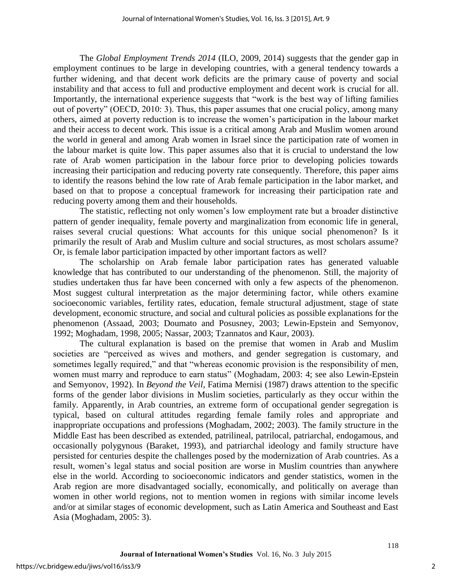The *Global Employment Trends 2014* (ILO, 2009, 2014) suggests that the gender gap in employment continues to be large in developing countries, with a general tendency towards a further widening, and that decent work deficits are the primary cause of poverty and social instability and that access to full and productive employment and decent work is crucial for all. Importantly, the international experience suggests that "work is the best way of lifting families out of poverty" (OECD, 2010: 3). Thus, this paper assumes that one crucial policy, among many others, aimed at poverty reduction is to increase the women's participation in the labour market and their access to decent work. This issue is a critical among Arab and Muslim women around the world in general and among Arab women in Israel since the participation rate of women in the labour market is quite low. This paper assumes also that it is crucial to understand the low rate of Arab women participation in the labour force prior to developing policies towards increasing their participation and reducing poverty rate consequently. Therefore, this paper aims to identify the reasons behind the low rate of Arab female participation in the labor market, and based on that to propose a conceptual framework for increasing their participation rate and reducing poverty among them and their households.

The statistic, reflecting not only women's low employment rate but a broader distinctive pattern of gender inequality, female poverty and marginalization from economic life in general, raises several crucial questions: What accounts for this unique social phenomenon? Is it primarily the result of Arab and Muslim culture and social structures, as most scholars assume? Or, is female labor participation impacted by other important factors as well?

The scholarship on Arab female labor participation rates has generated valuable knowledge that has contributed to our understanding of the phenomenon. Still, the majority of studies undertaken thus far have been concerned with only a few aspects of the phenomenon. Most suggest cultural interpretation as the major determining factor, while others examine socioeconomic variables, fertility rates, education, female structural adjustment, stage of state development, economic structure, and social and cultural policies as possible explanations for the phenomenon (Assaad, 2003; Doumato and Posusney, 2003; Lewin-Epstein and Semyonov, 1992; Moghadam, 1998, 2005; Nassar, 2003; Tzannatos and Kaur, 2003).

The cultural explanation is based on the premise that women in Arab and Muslim societies are "perceived as wives and mothers, and gender segregation is customary, and sometimes legally required," and that "whereas economic provision is the responsibility of men, women must marry and reproduce to earn status" (Moghadam, 2003: 4; see also Lewin-Epstein and Semyonov, 1992). In *Beyond the Veil*, Fatima Mernisi (1987) draws attention to the specific forms of the gender labor divisions in Muslim societies, particularly as they occur within the family. Apparently, in Arab countries, an extreme form of occupational gender segregation is typical, based on cultural attitudes regarding female family roles and appropriate and inappropriate occupations and professions (Moghadam, 2002; 2003). The family structure in the Middle East has been described as extended, patrilineal, patrilocal, patriarchal, endogamous, and occasionally polygynous (Baraket, 1993), and patriarchal ideology and family structure have persisted for centuries despite the challenges posed by the modernization of Arab countries. As a result, women's legal status and social position are worse in Muslim countries than anywhere else in the world. According to socioeconomic indicators and gender statistics, women in the Arab region are more disadvantaged socially, economically, and politically on average than women in other world regions, not to mention women in regions with similar income levels and/or at similar stages of economic development, such as Latin America and Southeast and East Asia (Moghadam, 2005: 3).

2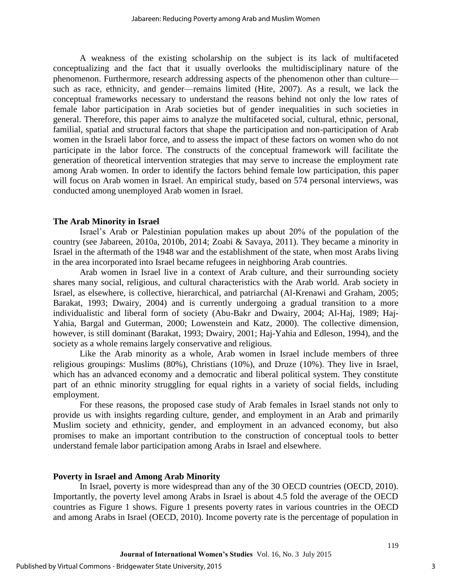A weakness of the existing scholarship on the subject is its lack of multifaceted conceptualizing and the fact that it usually overlooks the multidisciplinary nature of the phenomenon. Furthermore, research addressing aspects of the phenomenon other than culture such as race, ethnicity, and gender—remains limited (Hite, 2007). As a result, we lack the conceptual frameworks necessary to understand the reasons behind not only the low rates of female labor participation in Arab societies but of gender inequalities in such societies in general. Therefore, this paper aims to analyze the multifaceted social, cultural, ethnic, personal, familial, spatial and structural factors that shape the participation and non-participation of Arab women in the Israeli labor force, and to assess the impact of these factors on women who do not participate in the labor force. The constructs of the conceptual framework will facilitate the generation of theoretical intervention strategies that may serve to increase the employment rate among Arab women. In order to identify the factors behind female low participation, this paper will focus on Arab women in Israel. An empirical study, based on 574 personal interviews, was conducted among unemployed Arab women in Israel.

#### **The Arab Minority in Israel**

Israel's Arab or Palestinian population makes up about 20% of the population of the country (see Jabareen, 2010a, 2010b, 2014; Zoabi & Savaya, 2011). They became a minority in Israel in the aftermath of the 1948 war and the establishment of the state, when most Arabs living in the area incorporated into Israel became refugees in neighboring Arab countries.

Arab women in Israel live in a context of Arab culture, and their surrounding society shares many social, religious, and cultural characteristics with the Arab world. Arab society in Israel, as elsewhere, is collective, hierarchical, and patriarchal (Al-Krenawi and Graham, 2005; Barakat, 1993; Dwairy, 2004) and is currently undergoing a gradual transition to a more individualistic and liberal form of society (Abu-Bakr and Dwairy, 2004; Al-Haj, 1989; Haj-Yahia, Bargal and Guterman, 2000; Lowenstein and Katz, 2000). The collective dimension, however, is still dominant (Barakat, 1993; Dwairy, 2001; Haj-Yahia and Edleson, 1994), and the society as a whole remains largely conservative and religious.

Like the Arab minority as a whole, Arab women in Israel include members of three religious groupings: Muslims (80%), Christians (10%), and Druze (10%). They live in Israel, which has an advanced economy and a democratic and liberal political system. They constitute part of an ethnic minority struggling for equal rights in a variety of social fields, including employment.

For these reasons, the proposed case study of Arab females in Israel stands not only to provide us with insights regarding culture, gender, and employment in an Arab and primarily Muslim society and ethnicity, gender, and employment in an advanced economy, but also promises to make an important contribution to the construction of conceptual tools to better understand female labor participation among Arabs in Israel and elsewhere.

#### **Poverty in Israel and Among Arab Minority**

In Israel, poverty is more widespread than any of the 30 OECD countries (OECD, 2010). Importantly, the poverty level among Arabs in Israel is about 4.5 fold the average of the OECD countries as Figure 1 shows. Figure 1 presents poverty rates in various countries in the OECD and among Arabs in Israel (OECD, 2010). Income poverty rate is the percentage of population in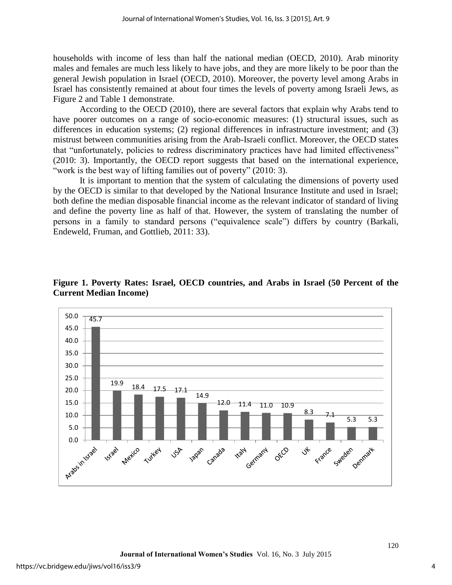households with income of less than half the national median (OECD, 2010). Arab minority males and females are much less likely to have jobs, and they are more likely to be poor than the general Jewish population in Israel (OECD, 2010). Moreover, the poverty level among Arabs in Israel has consistently remained at about four times the levels of poverty among Israeli Jews, as Figure 2 and Table 1 demonstrate.

According to the OECD (2010), there are several factors that explain why Arabs tend to have poorer outcomes on a range of socio-economic measures: (1) structural issues, such as differences in education systems; (2) regional differences in infrastructure investment; and (3) mistrust between communities arising from the Arab-Israeli conflict. Moreover, the OECD states that "unfortunately, policies to redress discriminatory practices have had limited effectiveness" (2010: 3). Importantly, the OECD report suggests that based on the international experience, "work is the best way of lifting families out of poverty" (2010: 3).

It is important to mention that the system of calculating the dimensions of poverty used by the OECD is similar to that developed by the National Insurance Institute and used in Israel; both define the median disposable financial income as the relevant indicator of standard of living and define the poverty line as half of that. However, the system of translating the number of persons in a family to standard persons ("equivalence scale") differs by country (Barkali, Endeweld, Fruman, and Gottlieb, 2011: 33).



**Figure 1. Poverty Rates: Israel, OECD countries, and Arabs in Israel (50 Percent of the Current Median Income)**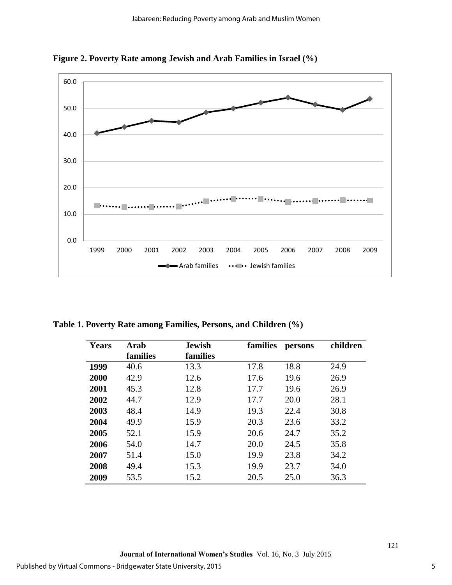

**Figure 2. Poverty Rate among Jewish and Arab Families in Israel (%)** 

**Table 1. Poverty Rate among Families, Persons, and Children (%)** 

| <b>Years</b> | Arab     | <b>Jewish</b> | families | persons | children |
|--------------|----------|---------------|----------|---------|----------|
|              | families | families      |          |         |          |
| 1999         | 40.6     | 13.3          | 17.8     | 18.8    | 24.9     |
| 2000         | 42.9     | 12.6          | 17.6     | 19.6    | 26.9     |
| 2001         | 45.3     | 12.8          | 17.7     | 19.6    | 26.9     |
| 2002         | 44.7     | 12.9          | 17.7     | 20.0    | 28.1     |
| 2003         | 48.4     | 14.9          | 19.3     | 22.4    | 30.8     |
| 2004         | 49.9     | 15.9          | 20.3     | 23.6    | 33.2     |
| 2005         | 52.1     | 15.9          | 20.6     | 24.7    | 35.2     |
| 2006         | 54.0     | 14.7          | 20.0     | 24.5    | 35.8     |
| 2007         | 51.4     | 15.0          | 19.9     | 23.8    | 34.2     |
| 2008         | 49.4     | 15.3          | 19.9     | 23.7    | 34.0     |
| 2009         | 53.5     | 15.2          | 20.5     | 25.0    | 36.3     |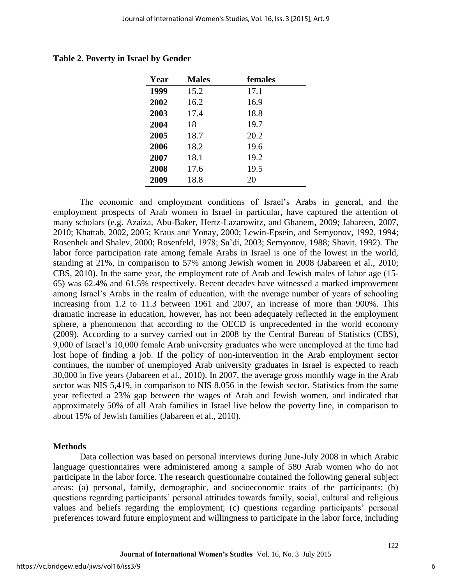| Year | <b>Males</b> | females |  |
|------|--------------|---------|--|
| 1999 | 15.2         | 17.1    |  |
| 2002 | 16.2         | 16.9    |  |
| 2003 | 17.4         | 18.8    |  |
| 2004 | 18           | 19.7    |  |
| 2005 | 18.7         | 20.2    |  |
| 2006 | 18.2         | 19.6    |  |
| 2007 | 18.1         | 19.2    |  |
| 2008 | 17.6         | 19.5    |  |
| 2009 | 18.8         | 20      |  |

**Table 2. Poverty in Israel by Gender** 

The economic and employment conditions of Israel's Arabs in general, and the employment prospects of Arab women in Israel in particular, have captured the attention of many scholars (e.g. Azaiza, Abu-Baker, Hertz-Lazarowitz, and Ghanem, 2009; Jabareen, 2007, 2010; Khattab, 2002, 2005; Kraus and Yonay, 2000; Lewin-Epsein, and Semyonov, 1992, 1994; Rosenhek and Shalev, 2000; Rosenfeld, 1978; Sa'di, 2003; Semyonov, 1988; Shavit, 1992). The labor force participation rate among female Arabs in Israel is one of the lowest in the world, standing at 21%, in comparison to 57% among Jewish women in 2008 (Jabareen et al., 2010; CBS, 2010). In the same year, the employment rate of Arab and Jewish males of labor age (15- 65) was 62.4% and 61.5% respectively. Recent decades have witnessed a marked improvement among Israel's Arabs in the realm of education, with the average number of years of schooling increasing from 1.2 to 11.3 between 1961 and 2007, an increase of more than 900%. This dramatic increase in education, however, has not been adequately reflected in the employment sphere, a phenomenon that according to the OECD is unprecedented in the world economy (2009). According to a survey carried out in 2008 by the Central Bureau of Statistics (CBS), 9,000 of Israel's 10,000 female Arab university graduates who were unemployed at the time had lost hope of finding a job. If the policy of non-intervention in the Arab employment sector continues, the number of unemployed Arab university graduates in Israel is expected to reach 30,000 in five years (Jabareen et al., 2010). In 2007, the average gross monthly wage in the Arab sector was NIS 5,419, in comparison to NIS 8,056 in the Jewish sector. Statistics from the same year reflected a 23% gap between the wages of Arab and Jewish women, and indicated that approximately 50% of all Arab families in Israel live below the poverty line, in comparison to about 15% of Jewish families (Jabareen et al., 2010).

#### **Methods**

Data collection was based on personal interviews during June-July 2008 in which Arabic language questionnaires were administered among a sample of 580 Arab women who do not participate in the labor force. The research questionnaire contained the following general subject areas: (a) personal, family, demographic, and socioeconomic traits of the participants; (b) questions regarding participants' personal attitudes towards family, social, cultural and religious values and beliefs regarding the employment; (c) questions regarding participants' personal preferences toward future employment and willingness to participate in the labor force, including

6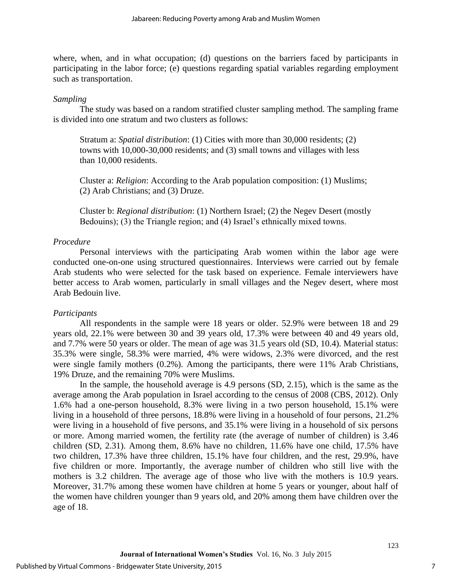where, when, and in what occupation; (d) questions on the barriers faced by participants in participating in the labor force; (e) questions regarding spatial variables regarding employment such as transportation.

#### *Sampling*

The study was based on a random stratified cluster sampling method. The sampling frame is divided into one stratum and two clusters as follows:

Stratum a: *Spatial distribution*: (1) Cities with more than 30,000 residents; (2) towns with 10,000-30,000 residents; and (3) small towns and villages with less than 10,000 residents.

Cluster a: *Religion*: According to the Arab population composition: (1) Muslims; (2) Arab Christians; and (3) Druze.

Cluster b: *Regional distribution*: (1) Northern Israel; (2) the Negev Desert (mostly Bedouins); (3) the Triangle region; and (4) Israel's ethnically mixed towns.

#### *Procedure*

Personal interviews with the participating Arab women within the labor age were conducted one-on-one using structured questionnaires. Interviews were carried out by female Arab students who were selected for the task based on experience. Female interviewers have better access to Arab women, particularly in small villages and the Negev desert, where most Arab Bedouin live.

#### *Participants*

All respondents in the sample were 18 years or older. 52.9% were between 18 and 29 years old, 22.1% were between 30 and 39 years old, 17.3% were between 40 and 49 years old, and 7.7% were 50 years or older. The mean of age was 31.5 years old (SD, 10.4). Material status: 35.3% were single, 58.3% were married, 4% were widows, 2.3% were divorced, and the rest were single family mothers (0.2%). Among the participants, there were 11% Arab Christians, 19% Druze, and the remaining 70% were Muslims.

In the sample, the household average is 4.9 persons (SD, 2.15), which is the same as the average among the Arab population in Israel according to the census of 2008 (CBS, 2012). Only 1.6% had a one-person household, 8.3% were living in a two person household, 15.1% were living in a household of three persons, 18.8% were living in a household of four persons, 21.2% were living in a household of five persons, and 35.1% were living in a household of six persons or more. Among married women, the fertility rate (the average of number of children) is 3.46 children (SD, 2.31). Among them, 8.6% have no children, 11.6% have one child, 17.5% have two children, 17.3% have three children, 15.1% have four children, and the rest, 29.9%, have five children or more. Importantly, the average number of children who still live with the mothers is 3.2 children. The average age of those who live with the mothers is 10.9 years. Moreover, 31.7% among these women have children at home 5 years or younger, about half of the women have children younger than 9 years old, and 20% among them have children over the age of 18.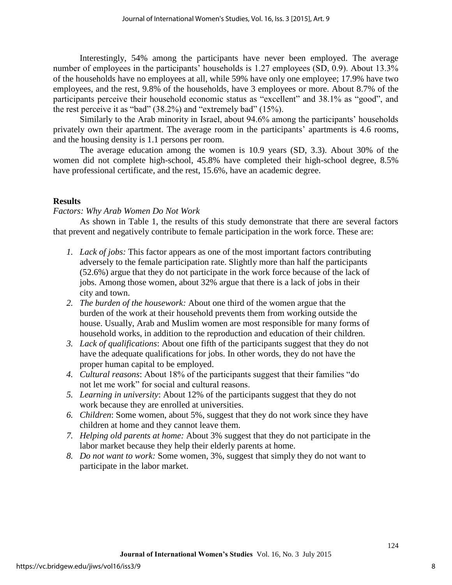Interestingly, 54% among the participants have never been employed. The average number of employees in the participants' households is 1.27 employees (SD, 0.9). About 13.3% of the households have no employees at all, while 59% have only one employee; 17.9% have two employees, and the rest, 9.8% of the households, have 3 employees or more. About 8.7% of the participants perceive their household economic status as "excellent" and 38.1% as "good", and the rest perceive it as "bad" (38.2%) and "extremely bad" (15%).

Similarly to the Arab minority in Israel, about 94.6% among the participants' households privately own their apartment. The average room in the participants' apartments is 4.6 rooms, and the housing density is 1.1 persons per room.

The average education among the women is 10.9 years (SD, 3.3). About 30% of the women did not complete high-school, 45.8% have completed their high-school degree, 8.5% have professional certificate, and the rest, 15.6%, have an academic degree.

### **Results**

### *Factors: Why Arab Women Do Not Work*

As shown in Table 1, the results of this study demonstrate that there are several factors that prevent and negatively contribute to female participation in the work force. These are:

- *1. Lack of jobs:* This factor appears as one of the most important factors contributing adversely to the female participation rate. Slightly more than half the participants (52.6%) argue that they do not participate in the work force because of the lack of jobs. Among those women, about 32% argue that there is a lack of jobs in their city and town.
- *2. The burden of the housework:* About one third of the women argue that the burden of the work at their household prevents them from working outside the house. Usually, Arab and Muslim women are most responsible for many forms of household works, in addition to the reproduction and education of their children.
- *3. Lack of qualifications*: About one fifth of the participants suggest that they do not have the adequate qualifications for jobs. In other words, they do not have the proper human capital to be employed.
- *4. Cultural reasons*: About 18% of the participants suggest that their families "do not let me work" for social and cultural reasons.
- *5. Learning in university*: About 12% of the participants suggest that they do not work because they are enrolled at universities.
- *6. Children*: Some women, about 5%, suggest that they do not work since they have children at home and they cannot leave them.
- *7. Helping old parents at home:* About 3% suggest that they do not participate in the labor market because they help their elderly parents at home.
- *8. Do not want to work:* Some women, 3%, suggest that simply they do not want to participate in the labor market.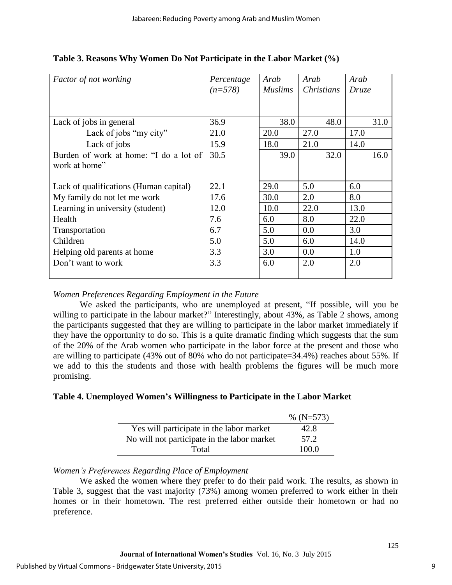| <b>Factor of not working</b>           | Percentage | Arab           | Arab              | Arab  |  |
|----------------------------------------|------------|----------------|-------------------|-------|--|
|                                        | $(n=578)$  | <b>Muslims</b> | <i>Christians</i> | Druze |  |
|                                        |            |                |                   |       |  |
|                                        |            |                |                   |       |  |
| Lack of jobs in general                | 36.9       | 38.0           | 48.0              | 31.0  |  |
| Lack of jobs "my city"                 | 21.0       | 20.0           | 27.0              | 17.0  |  |
| Lack of jobs                           | 15.9       | 18.0           | 21.0              | 14.0  |  |
| Burden of work at home: "I do a lot of | 30.5       | 39.0           | 32.0              | 16.0  |  |
| work at home"                          |            |                |                   |       |  |
|                                        |            |                |                   |       |  |
| Lack of qualifications (Human capital) | 22.1       | 29.0           | 5.0               | 6.0   |  |
| My family do not let me work           | 17.6       | 30.0           | 2.0               | 8.0   |  |
| Learning in university (student)       | 12.0       | 10.0           | 22.0              | 13.0  |  |
| Health                                 | 7.6        | 6.0            | 8.0               | 22.0  |  |
| Transportation                         | 6.7        | 5.0            | 0.0               | 3.0   |  |
| Children                               | 5.0        | 5.0            | 6.0               | 14.0  |  |
| Helping old parents at home            | 3.3        | 3.0            | 0.0               | 1.0   |  |
| Don't want to work                     | 3.3        | 6.0            | 2.0               | 2.0   |  |
|                                        |            |                |                   |       |  |

## **Table 3. Reasons Why Women Do Not Participate in the Labor Market (%)**

## *Women Preferences Regarding Employment in the Future*

We asked the participants, who are unemployed at present, "If possible, will you be willing to participate in the labour market?" Interestingly, about 43%, as Table 2 shows, among the participants suggested that they are willing to participate in the labor market immediately if they have the opportunity to do so. This is a quite dramatic finding which suggests that the sum of the 20% of the Arab women who participate in the labor force at the present and those who are willing to participate (43% out of 80% who do not participate=34.4%) reaches about 55%. If we add to this the students and those with health problems the figures will be much more promising.

## **Table 4. Unemployed Women's Willingness to Participate in the Labor Market**

|                                             | % $(N=573)$ |
|---------------------------------------------|-------------|
| Yes will participate in the labor market    | 42.8        |
| No will not participate in the labor market | 57.2        |
| Total                                       | 100 O       |

## *Women's Preferences Regarding Place of Employment*

We asked the women where they prefer to do their paid work. The results, as shown in Table 3, suggest that the vast majority (73%) among women preferred to work either in their homes or in their hometown. The rest preferred either outside their hometown or had no preference.

9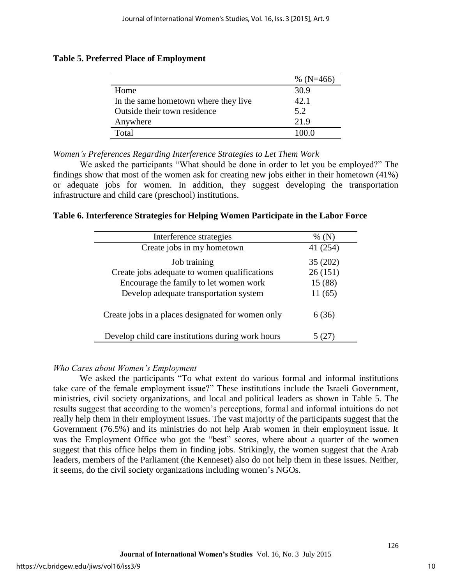|                                      | % $(N=466)$ |
|--------------------------------------|-------------|
| Home                                 | 30.9        |
| In the same hometown where they live | 42.1        |
| Outside their town residence         | 5.2         |
| Anywhere                             | 21.9        |
| Total                                | 100 O       |

## **Table 5. Preferred Place of Employment**

*Women's Preferences Regarding Interference Strategies to Let Them Work* 

We asked the participants "What should be done in order to let you be employed?" The findings show that most of the women ask for creating new jobs either in their hometown (41%) or adequate jobs for women. In addition, they suggest developing the transportation infrastructure and child care (preschool) institutions.

## **Table 6. Interference Strategies for Helping Women Participate in the Labor Force**

| Interference strategies                           | %(N)     |
|---------------------------------------------------|----------|
| Create jobs in my hometown                        | 41 (254) |
| Job training                                      | 35(202)  |
| Create jobs adequate to women qualifications      | 26(151)  |
| Encourage the family to let women work            | 15 (88)  |
| Develop adequate transportation system            | 11(65)   |
| Create jobs in a places designated for women only | 6 (36)   |
| Develop child care institutions during work hours |          |

### *Who Cares about Women's Employment*

We asked the participants "To what extent do various formal and informal institutions take care of the female employment issue?" These institutions include the Israeli Government, ministries, civil society organizations, and local and political leaders as shown in Table 5. The results suggest that according to the women's perceptions, formal and informal intuitions do not really help them in their employment issues. The vast majority of the participants suggest that the Government (76.5%) and its ministries do not help Arab women in their employment issue. It was the Employment Office who got the "best" scores, where about a quarter of the women suggest that this office helps them in finding jobs. Strikingly, the women suggest that the Arab leaders, members of the Parliament (the Kenneset) also do not help them in these issues. Neither, it seems, do the civil society organizations including women's NGOs.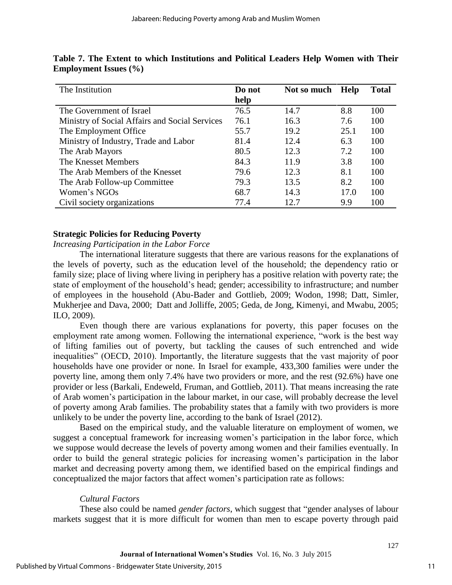| The Institution                                | Do not | Not so much | Help | <b>Total</b> |
|------------------------------------------------|--------|-------------|------|--------------|
|                                                | help   |             |      |              |
| The Government of Israel                       | 76.5   | 14.7        | 8.8  | 100          |
| Ministry of Social Affairs and Social Services | 76.1   | 16.3        | 7.6  | 100          |
| The Employment Office                          | 55.7   | 19.2        | 25.1 | 100          |
| Ministry of Industry, Trade and Labor          | 81.4   | 12.4        | 6.3  | 100          |
| The Arab Mayors                                | 80.5   | 12.3        | 7.2  | 100          |
| The Knesset Members                            | 84.3   | 11.9        | 3.8  | 100          |
| The Arab Members of the Knesset                | 79.6   | 12.3        | 8.1  | 100          |
| The Arab Follow-up Committee                   | 79.3   | 13.5        | 8.2  | 100          |
| Women's NGOs                                   | 68.7   | 14.3        | 17.0 | 100          |
| Civil society organizations                    | 77.4   | 12.7        | 9.9  | 100          |

| Table 7. The Extent to which Institutions and Political Leaders Help Women with Their |  |  |  |  |  |
|---------------------------------------------------------------------------------------|--|--|--|--|--|
| <b>Employment Issues</b> (%)                                                          |  |  |  |  |  |

### **Strategic Policies for Reducing Poverty**

*Increasing Participation in the Labor Force* 

The international literature suggests that there are various reasons for the explanations of the levels of poverty, such as the education level of the household; the dependency ratio or family size; place of living where living in periphery has a positive relation with poverty rate; the state of employment of the household's head; gender; accessibility to infrastructure; and number of employees in the household (Abu-Bader and Gottlieb, 2009; Wodon, 1998; Datt, Simler, Mukherjee and Dava, 2000; Datt and Jolliffe, 2005; Geda, de Jong, Kimenyi, and Mwabu, 2005; ILO, 2009).

Even though there are various explanations for poverty, this paper focuses on the employment rate among women. Following the international experience, "work is the best way of lifting families out of poverty, but tackling the causes of such entrenched and wide inequalities" (OECD, 2010). Importantly, the literature suggests that the vast majority of poor households have one provider or none. In Israel for example, 433,300 families were under the poverty line, among them only 7.4% have two providers or more, and the rest (92.6%) have one provider or less (Barkali, Endeweld, Fruman, and Gottlieb, 2011). That means increasing the rate of Arab women's participation in the labour market, in our case, will probably decrease the level of poverty among Arab families. The probability states that a family with two providers is more unlikely to be under the poverty line, according to the bank of Israel (2012).

Based on the empirical study, and the valuable literature on employment of women, we suggest a conceptual framework for increasing women's participation in the labor force, which we suppose would decrease the levels of poverty among women and their families eventually. In order to build the general strategic policies for increasing women's participation in the labor market and decreasing poverty among them, we identified based on the empirical findings and conceptualized the major factors that affect women's participation rate as follows:

#### *Cultural Factors*

These also could be named *gender factors*, which suggest that "gender analyses of labour markets suggest that it is more difficult for women than men to escape poverty through paid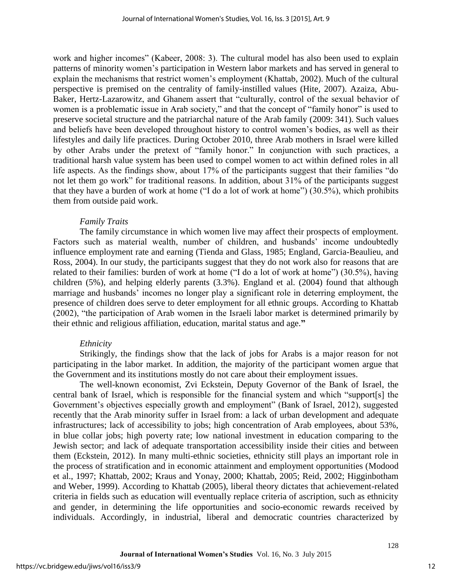work and higher incomes" (Kabeer, 2008: 3). The cultural model has also been used to explain patterns of minority women's participation in Western labor markets and has served in general to explain the mechanisms that restrict women's employment (Khattab, 2002). Much of the cultural perspective is premised on the centrality of family-instilled values (Hite, 2007). Azaiza, Abu-Baker, Hertz-Lazarowitz, and Ghanem assert that "culturally, control of the sexual behavior of women is a problematic issue in Arab society," and that the concept of "family honor" is used to preserve societal structure and the patriarchal nature of the Arab family (2009: 341). Such values and beliefs have been developed throughout history to control women's bodies, as well as their lifestyles and daily life practices. During October 2010, three Arab mothers in Israel were killed by other Arabs under the pretext of "family honor." In conjunction with such practices, a traditional harsh value system has been used to compel women to act within defined roles in all life aspects. As the findings show, about 17% of the participants suggest that their families "do not let them go work" for traditional reasons. In addition, about 31% of the participants suggest that they have a burden of work at home ("I do a lot of work at home") (30.5%), which prohibits them from outside paid work.

#### *Family Traits*

The family circumstance in which women live may affect their prospects of employment. Factors such as material wealth, number of children, and husbands' income undoubtedly influence employment rate and earning (Tienda and Glass, 1985; England, Garcia-Beaulieu, and Ross, 2004). In our study, the participants suggest that they do not work also for reasons that are related to their families: burden of work at home ("I do a lot of work at home") (30.5%), having children (5%), and helping elderly parents (3.3%). England et al. (2004) found that although marriage and husbands' incomes no longer play a significant role in deterring employment, the presence of children does serve to deter employment for all ethnic groups. According to Khattab (2002), "the participation of Arab women in the Israeli labor market is determined primarily by their ethnic and religious affiliation, education, marital status and age.**"**

#### *Ethnicity*

Strikingly, the findings show that the lack of jobs for Arabs is a major reason for not participating in the labor market. In addition, the majority of the participant women argue that the Government and its institutions mostly do not care about their employment issues.

The well-known economist, Zvi Eckstein, Deputy Governor of the Bank of Israel, the central bank of Israel, which is responsible for the financial system and which "support[s] the Government's objectives especially growth and employment" (Bank of Israel, 2012), suggested recently that the Arab minority suffer in Israel from: a lack of urban development and adequate infrastructures; lack of accessibility to jobs; high concentration of Arab employees, about 53%, in blue collar jobs; high poverty rate; low national investment in education comparing to the Jewish sector; and lack of adequate transportation accessibility inside their cities and between them (Eckstein, 2012). In many multi-ethnic societies, ethnicity still plays an important role in the process of stratification and in economic attainment and employment opportunities [\(Modood](http://www.socresonline.org.uk/10/3/khattab.html#modood1997)  [et al., 1997;](http://www.socresonline.org.uk/10/3/khattab.html#modood1997) [Khattab, 2002;](http://www.socresonline.org.uk/10/3/khattab.html#khattab2002a) [Kraus and Yonay, 2000;](http://www.socresonline.org.uk/10/3/khattab.html#kraus2000) Khattab, 2005; Reid, 2002; Higginbotham and Weber, 1999). According to Khattab (2005), liberal theory dictates that achievement-related criteria in fields such as education will eventually replace criteria of ascription, such as ethnicity and gender, in determining the life opportunities and socio-economic rewards received by individuals. Accordingly, in industrial, liberal and democratic countries characterized by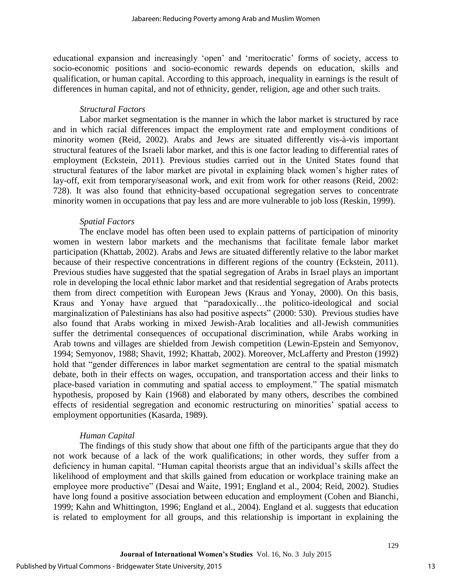educational expansion and increasingly 'open' and 'meritocratic' forms of society, access to socio-economic positions and socio-economic rewards depends on education, skills and qualification, or human capital. According to this approach, inequality in earnings is the result of differences in human capital, and not of ethnicity, gender, religion, age and other such traits.

## *Structural Factors*

Labor market segmentation is the manner in which the labor market is structured by race and in which racial differences impact the employment rate and employment conditions of minority women (Reid, 2002). Arabs and Jews are situated differently vis-à-vis important structural features of the Israeli labor market, and this is one factor leading to differential rates of employment (Eckstein, 2011). Previous studies carried out in the United States found that structural features of the labor market are pivotal in explaining black women's higher rates of lay-off, exit from temporary/seasonal work, and exit from work for other reasons (Reid, 2002: 728). It was also found that ethnicity-based occupational segregation serves to concentrate minority women in occupations that pay less and are more vulnerable to job loss (Reskin, 1999).

## *Spatial Factors*

The enclave model has often been used to explain patterns of participation of minority women in western labor markets and the mechanisms that facilitate female labor market participation (Khattab, 2002). Arabs and Jews are situated differently relative to the labor market because of their respective concentrations in different regions of the country (Eckstein, 2011). Previous studies have suggested that the spatial segregation of Arabs in Israel plays an important role in developing the local ethnic labor market and that residential segregation of Arabs protects them from direct competition with European Jews (Kraus and Yonay, 2000). On this basis, Kraus and Yonay have argued that "paradoxically…the politico-ideological and social marginalization of Palestinians has also had positive aspects" (2000: 530). Previous studies have also found that Arabs working in mixed Jewish-Arab localities and all-Jewish communities suffer the detrimental consequences of occupational discrimination, while Arabs working in Arab towns and villages are shielded from Jewish competition (Lewin-Epstein and Semyonov, 1994; Semyonov, 1988; Shavit, 1992; Khattab, 2002). Moreover, McLafferty and Preston (1992) hold that "gender differences in labor market segmentation are central to the spatial mismatch debate, both in their effects on wages, occupation, and transportation access and their links to place-based variation in commuting and spatial access to employment." The spatial mismatch hypothesis, proposed by Kain (1968) and elaborated by many others, describes the combined effects of residential segregation and economic restructuring on minorities' spatial access to employment opportunities (Kasarda, 1989).

## *Human Capital*

The findings of this study show that about one fifth of the participants argue that they do not work because of a lack of the work qualifications; in other words, they suffer from a deficiency in human capital. "Human capital theorists argue that an individual's skills affect the likelihood of employment and that skills gained from education or workplace training make an employee more productive" (Desai and Waite, 1991; England et al., 2004; Reid, 2002). Studies have long found a positive association between education and employment (Cohen and Bianchi, 1999; Kahn and Whittington, 1996; England et al., 2004). England et al. suggests that education is related to employment for all groups, and this relationship is important in explaining the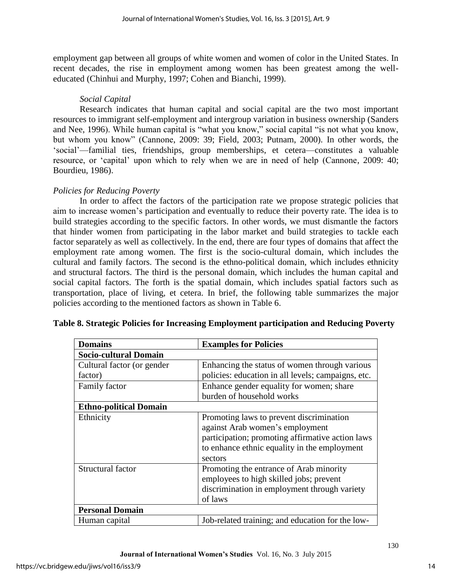employment gap between all groups of white women and women of color in the United States. In recent decades, the rise in employment among women has been greatest among the welleducated (Chinhui and Murphy, 1997; Cohen and Bianchi, 1999).

## *Social Capital*

Research indicates that human capital and social capital are the two most important resources to immigrant self-employment and intergroup variation in business ownership (Sanders and Nee, 1996). While human capital is "what you know," social capital "is not what you know, but whom you know" (Cannone, 2009: 39; Field, 2003; Putnam, 2000). In other words, the 'social'—familial ties, friendships, group memberships, et cetera—constitutes a valuable resource, or 'capital' upon which to rely when we are in need of help (Cannone, 2009: 40; Bourdieu, 1986).

## *Policies for Reducing Poverty*

In order to affect the factors of the participation rate we propose strategic policies that aim to increase women's participation and eventually to reduce their poverty rate. The idea is to build strategies according to the specific factors. In other words, we must dismantle the factors that hinder women from participating in the labor market and build strategies to tackle each factor separately as well as collectively. In the end, there are four types of domains that affect the employment rate among women. The first is the socio-cultural domain, which includes the cultural and family factors. The second is the ethno-political domain, which includes ethnicity and structural factors. The third is the personal domain, which includes the human capital and social capital factors. The forth is the spatial domain, which includes spatial factors such as transportation, place of living, et cetera. In brief, the following table summarizes the major policies according to the mentioned factors as shown in Table 6.

| <b>Domains</b>                | <b>Examples for Policies</b>                       |
|-------------------------------|----------------------------------------------------|
| <b>Socio-cultural Domain</b>  |                                                    |
| Cultural factor (or gender    | Enhancing the status of women through various      |
| factor)                       | policies: education in all levels; campaigns, etc. |
| Family factor                 | Enhance gender equality for women; share           |
|                               | burden of household works                          |
| <b>Ethno-political Domain</b> |                                                    |
| Ethnicity                     | Promoting laws to prevent discrimination           |
|                               | against Arab women's employment                    |
|                               | participation; promoting affirmative action laws   |
|                               | to enhance ethnic equality in the employment       |
|                               | sectors                                            |
| Structural factor             | Promoting the entrance of Arab minority            |
|                               | employees to high skilled jobs; prevent            |
|                               | discrimination in employment through variety       |
|                               | of laws                                            |
| <b>Personal Domain</b>        |                                                    |
| Human capital                 | Job-related training; and education for the low-   |

### **Table 8. Strategic Policies for Increasing Employment participation and Reducing Poverty**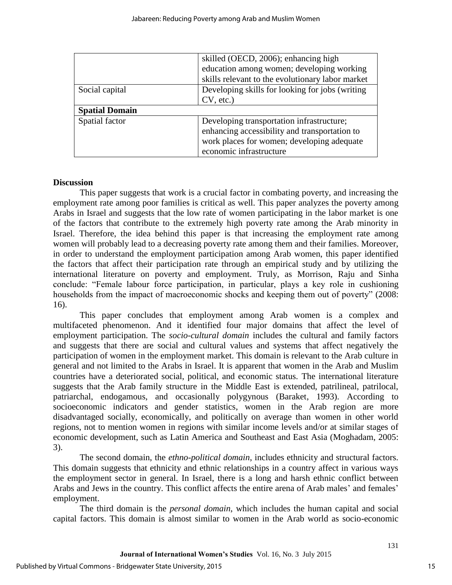|                       | skilled (OECD, 2006); enhancing high             |  |  |
|-----------------------|--------------------------------------------------|--|--|
|                       | education among women; developing working        |  |  |
|                       | skills relevant to the evolutionary labor market |  |  |
| Social capital        | Developing skills for looking for jobs (writing  |  |  |
|                       | $CV, etc.$ )                                     |  |  |
| <b>Spatial Domain</b> |                                                  |  |  |
| Spatial factor        | Developing transportation infrastructure;        |  |  |
|                       | enhancing accessibility and transportation to    |  |  |
|                       | work places for women; developing adequate       |  |  |
|                       | economic infrastructure                          |  |  |

### **Discussion**

This paper suggests that work is a crucial factor in combating poverty, and increasing the employment rate among poor families is critical as well. This paper analyzes the poverty among Arabs in Israel and suggests that the low rate of women participating in the labor market is one of the factors that contribute to the extremely high poverty rate among the Arab minority in Israel. Therefore, the idea behind this paper is that increasing the employment rate among women will probably lead to a decreasing poverty rate among them and their families. Moreover, in order to understand the employment participation among Arab women, this paper identified the factors that affect their participation rate through an empirical study and by utilizing the international literature on poverty and employment. Truly, as Morrison, Raju and Sinha conclude: "Female labour force participation, in particular, plays a key role in cushioning households from the impact of macroeconomic shocks and keeping them out of poverty" (2008: 16).

This paper concludes that employment among Arab women is a complex and multifaceted phenomenon. And it identified four major domains that affect the level of employment participation. The *socio-cultural domain* includes the cultural and family factors and suggests that there are social and cultural values and systems that affect negatively the participation of women in the employment market. This domain is relevant to the Arab culture in general and not limited to the Arabs in Israel. It is apparent that women in the Arab and Muslim countries have a deteriorated social, political, and economic status. The international literature suggests that the Arab family structure in the Middle East is extended, patrilineal, patrilocal, patriarchal, endogamous, and occasionally polygynous (Baraket, 1993). According to socioeconomic indicators and gender statistics, women in the Arab region are more disadvantaged socially, economically, and politically on average than women in other world regions, not to mention women in regions with similar income levels and/or at similar stages of economic development, such as Latin America and Southeast and East Asia (Moghadam, 2005: 3).

The second domain, the *ethno-political domain*, includes ethnicity and structural factors. This domain suggests that ethnicity and ethnic relationships in a country affect in various ways the employment sector in general. In Israel, there is a long and harsh ethnic conflict between Arabs and Jews in the country. This conflict affects the entire arena of Arab males' and females' employment.

The third domain is the *personal domain*, which includes the human capital and social capital factors. This domain is almost similar to women in the Arab world as socio-economic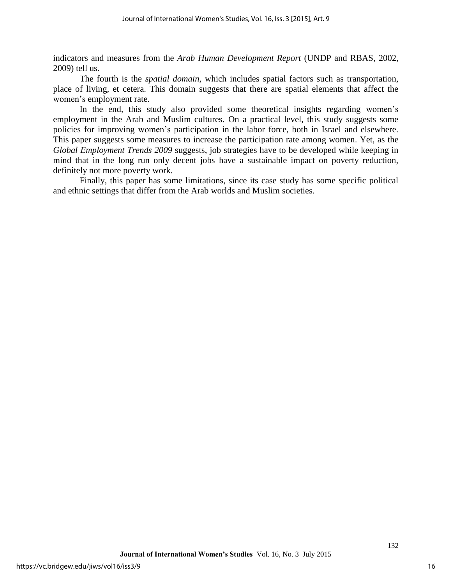indicators and measures from the *Arab Human Development Report* (UNDP and RBAS, 2002, 2009) tell us.

The fourth is the *spatial domain*, which includes spatial factors such as transportation, place of living, et cetera. This domain suggests that there are spatial elements that affect the women's employment rate.

In the end, this study also provided some theoretical insights regarding women's employment in the Arab and Muslim cultures. On a practical level, this study suggests some policies for improving women's participation in the labor force, both in Israel and elsewhere. This paper suggests some measures to increase the participation rate among women. Yet, as the *Global Employment Trends 2009* suggests, job strategies have to be developed while keeping in mind that in the long run only decent jobs have a sustainable impact on poverty reduction, definitely not more poverty work.

Finally, this paper has some limitations, since its case study has some specific political and ethnic settings that differ from the Arab worlds and Muslim societies.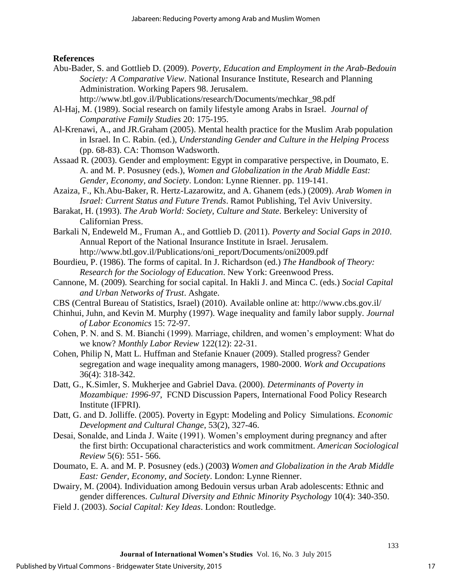## **References**

- Abu-Bader, S. and Gottlieb D. (2009). *Poverty, Education and Employment in the Arab-Bedouin Society: A Comparative View*. National Insurance Institute, Research and Planning Administration. Working Papers 98. Jerusalem.
	- http://www.btl.gov.il/Publications/research/Documents/mechkar\_98.pdf
- Al-Haj, M. (1989). Social research on family lifestyle among Arabs in Israel. *Journal of Comparative Family Studies* 20: 175-195.
- Al-Krenawi, A., and JR.Graham (2005). Mental health practice for the Muslim Arab population in Israel. In C. Rabin. (ed.), *Understanding Gender and Culture in the Helping Process* (pp. 68-83). CA: Thomson Wadsworth.
- Assaad R. (2003). Gender and employment: Egypt in comparative perspective, in Doumato, E. A. and M. P. Posusney (eds.), *Women and Globalization in the Arab Middle East: Gender, Economy, and Society*. London: Lynne Rienner. pp. 119-141.
- Azaiza, F., Kh.Abu-Baker, R. Hertz-Lazarowitz, and A. Ghanem (eds.) (2009). *Arab Women in Israel: Current Status and Future Trends*. Ramot Publishing, Tel Aviv University.
- Barakat, H. (1993). *The Arab World: Society, Culture and State*. Berkeley: University of Californian Press.
- Barkali N, Endeweld M., Fruman A., and Gottlieb D. (2011). *Poverty and Social Gaps in 2010*. Annual Report of the National Insurance Institute in Israel. Jerusalem. http://www.btl.gov.il/Publications/oni\_report/Documents/oni2009.pdf
- Bourdieu, P. (1986). The forms of capital. In J. Richardson (ed.) *The Handbook of Theory: Research for the Sociology of Education*. New York: Greenwood Press.
- Cannone, M. (2009). Searching for social capital. In Hakli J. and Minca C. (eds.) *Social Capital and Urban Networks of Trust*. Ashgate.
- CBS (Central Bureau of Statistics, Israel) (2010). Available online at: http://www.cbs.gov.il/
- Chinhui, Juhn, and Kevin M. Murphy (1997). Wage inequality and family labor supply. *Journal of Labor Economics* 15: 72-97.
- Cohen, P. N. and S. M. Bianchi (1999). Marriage, children, and women's employment: What do we know? *Monthly Labor Review* 122(12): 22-31.
- Cohen, Philip N, Matt L. Huffman and Stefanie Knauer (2009). Stalled progress? Gender segregation and wage inequality among managers, 1980-2000. *Work and Occupations* 36(4): 318-342.
- Datt, G., K.Simler, S. Mukherjee and Gabriel Dava. (2000). *Determinants of Poverty in Mozambique: 1996-97*, FCND Discussion Papers, International Food Policy Research Institute (IFPRI).
- Datt, G. and D. Jolliffe. (2005). Poverty in Egypt: Modeling and Policy Simulations. *Economic Development and Cultural Change*, 53(2), 327-46.
- Desai, Sonalde, and Linda J. Waite (1991). Women's employment during pregnancy and after the first birth: Occupational characteristics and work commitment. *American Sociological Review* 5(6): 551- 566.
- Doumato, E. A. and M. P. Posusney (eds.) (2003**)** *Women and Globalization in the Arab Middle East: Gender, Economy, and Society*. London: Lynne Rienner.
- Dwairy, M. (2004). Individuation among Bedouin versus urban Arab adolescents: Ethnic and gender differences. *Cultural Diversity and Ethnic Minority Psychology* 10(4): 340-350.
- Field J. (2003). *Social Capital: Key Ideas*. London: Routledge.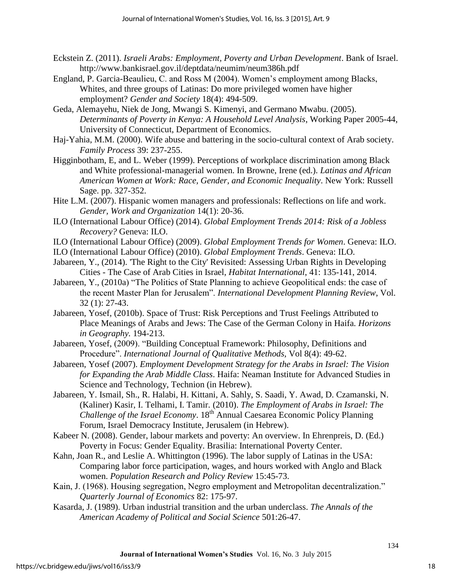- Eckstein Z. (2011). *Israeli Arabs: Employment, Poverty and Urban Development*. Bank of Israel. http://www.bankisrael.gov.il/deptdata/neumim/neum386h.pdf
- England, P. Garcia-Beaulieu, C. and Ross M (2004). Women's employment among Blacks, Whites, and three groups of Latinas: Do more privileged women have higher employment? *Gender and Society* 18(4): 494-509.
- Geda, Alemayehu, Niek de Jong, Mwangi S. Kimenyi, and Germano Mwabu. (2005). *Determinants of Poverty in Kenya: A Household Level Analysis*, Working Paper 2005-44, University of Connecticut, Department of Economics.
- Haj-Yahia, M.M. (2000). Wife abuse and battering in the socio-cultural context of Arab society. *Family Process* 39: 237-255.
- Higginbotham, E, and L. Weber (1999). Perceptions of workplace discrimination among Black and White professional-managerial women. In Browne, Irene (ed.). *Latinas and African American Women at Work: Race, Gender, and Economic Inequality*. New York: Russell Sage. pp. 327-352.
- Hite L.M. (2007). Hispanic women managers and professionals: Reflections on life and work. *Gender, Work and Organization* 14(1): 20-36.
- ILO (International Labour Office) (2014). *Global Employment Trends 2014: Risk of a Jobless Recovery?* Geneva: ILO.
- ILO (International Labour Office) (2009). *Global Employment Trends for Women*. Geneva: ILO.
- ILO (International Labour Office) (2010). *Global Employment Trends*. Geneva: ILO.
- Jabareen, Y., (2014). 'The Right to the City' Revisited: Assessing Urban Rights in Developing Cities - The Case of Arab Cities in Israel, *Habitat International*, 41: 135-141, 2014.
- Jabareen, Y., (2010a) "The Politics of State Planning to achieve Geopolitical ends: the case of the recent Master Plan for Jerusalem". *International Development Planning Review*, Vol. 32 (1): 27-43.
- Jabareen, Yosef, (2010b). Space of Trust: Risk Perceptions and Trust Feelings Attributed to Place Meanings of Arabs and Jews: The Case of the German Colony in Haifa. *Horizons in Geography.* 194-213.
- Jabareen, Yosef, (2009). "Building Conceptual Framework: Philosophy, Definitions and Procedure". *International Journal of Qualitative Methods,* Vol 8(4): 49-62.
- Jabareen, Yosef (2007). *Employment Development Strategy for the Arabs in Israel: The Vision for Expanding the Arab Middle Class*. Haifa: Neaman Institute for Advanced Studies in Science and Technology, Technion (in Hebrew).
- Jabareen, Y. Ismail, Sh., R. Halabi, H. Kittani, A. Sahly, S. Saadi, Y. Awad, D. Czamanski, N. (Kaliner) Kasir, I. Telhami, I. Tamir. (2010). *The Employment of Arabs in Israel: The Challenge of the Israel Economy*. 18th Annual Caesarea Economic Policy Planning Forum, Israel Democracy Institute, Jerusalem (in Hebrew).
- Kabeer N. (2008). Gender, labour markets and poverty: An overview. In Ehrenpreis, D. (Ed.) Poverty in Focus: Gender Equality. Brasilia: International Poverty Center.
- Kahn, Joan R., and Leslie A. Whittington (1996). The labor supply of Latinas in the USA: Comparing labor force participation, wages, and hours worked with Anglo and Black women. *Population Research and Policy Review* 15:45-73.
- Kain, J. (1968). Housing segregation, Negro employment and Metropolitan decentralization." *Quarterly Journal of Economics* 82: 175-97.
- Kasarda, J. (1989). Urban industrial transition and the urban underclass. *The Annals of the American Academy of Political and Social Science* 501:26-47.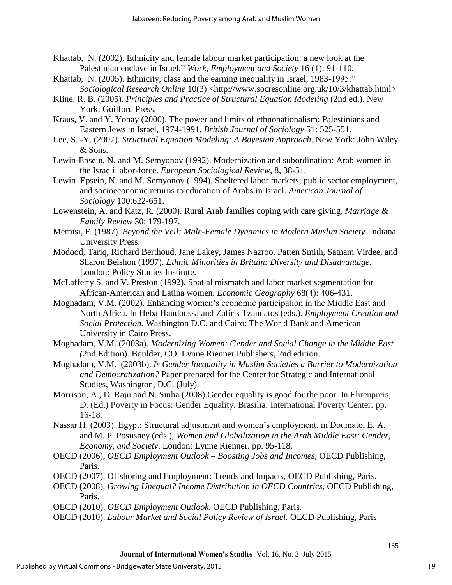- Khattab, N. (2002). Ethnicity and female labour market participation: a new look at the Palestinian enclave in Israel*.*" *Work, Employment and Society* 16 (1): 91-110.
- Khattab, N. (2005). Ethnicity, class and the earning inequality in Israel, 1983-1995." *Sociological Research Online* 10(3) <http://www.socresonline.org.uk/10/3/khattab.html>
- Kline, R. B. (2005). *Principles and Practice of Structural Equation Modeling* (2nd ed.). New York: Guilford Press.
- Kraus, V. and Y. Yonay (2000). The power and limits of ethnonationalism: Palestinians and Eastern Jews in Israel, 1974-1991. *British Journal of Sociology* 51: 525-551.
- Lee, S. -Y. (2007). *Structural Equation Modeling: A Bayesian Approach*. New York: John Wiley & Sons.
- Lewin-Epsein, N. and M. Semyonov (1992). Modernization and subordination: Arab women in the Israeli labor-force. *European Sociological Review*, 8, 38-51.
- Lewin Epsein, N. and M. Semyonov (1994). Sheltered labor markets, public sector employment, and socioeconomic returns to education of Arabs in Israel. *American Journal of Sociology* 100:622-651.
- Lowenstein, A. and Katz, R. (2000). Rural Arab families coping with care giving. *Marriage & Family Review* 30: 179-197.
- Mernisi, F. (1987). *Beyond the Veil: Male-Female Dynamics in Modern Muslim Society*. Indiana University Press.
- Modood, Tariq, Richard Berthoud, Jane Lakey, James Nazroo, Patten Smith, Satnam Virdee, and Sharon Beishon (1997). *Ethnic Minorities in Britain: Diversity and Disadvantage*. London: Policy Studies Institute.
- McLafferty S. and V. Preston (1992). Spatial mismatch and labor market segmentation for African-American and Latina women. *Economic Geography* 68(4): 406-431.
- Moghadam, V.M. (2002). Enhancing women's economic participation in the Middle East and North Africa. In Heba Handoussa and Zafiris Tzannatos (eds.). *Employment Creation and Social Protection.* Washington D.C. and Cairo: The World Bank and American University in Cairo Press.
- Moghadam, V.M. (2003a). *Modernizing Women: Gender and Social Change in the Middle East (*2nd Edition). Boulder, CO: Lynne Rienner Publishers, 2nd edition.
- Moghadam, V.M. (2003b). *Is Gender Inequality in Muslim Societies a Barrier to Modernization and Democratization?* Paper prepared for the Center for Strategic and International Studies, Washington, D.C. (July).
- Morrison, A., D. Raju and N. Sinha (2008).Gender equality is good for the poor. In Ehrenpreis, D. (Ed.) Poverty in Focus: Gender Equality. Brasilia: International Poverty Center. pp. 16-18.
- Nassar H. (2003). Egypt: Structural adjustment and women's employment, in Doumato, E. A. and M. P. Posusney (eds.), *Women and Globalization in the Arab Middle East: Gender, Economy, and Society*. London: Lynne Rienner. pp. 95-118.
- OECD (2006), *OECD Employment Outlook – Boosting Jobs and Incomes*, OECD Publishing, Paris.
- OECD (2007), Offshoring and Employment: Trends and Impacts, OECD Publishing, Paris.
- OECD (2008), *Growing Unequal? Income Distribution in OECD Countries*, OECD Publishing, Paris.
- OECD (2010), *OECD Employment Outlook*, OECD Publishing, Paris.
- OECD (2010). *Labour Market and Social Policy Review of Israel.* OECD Publishing, Paris